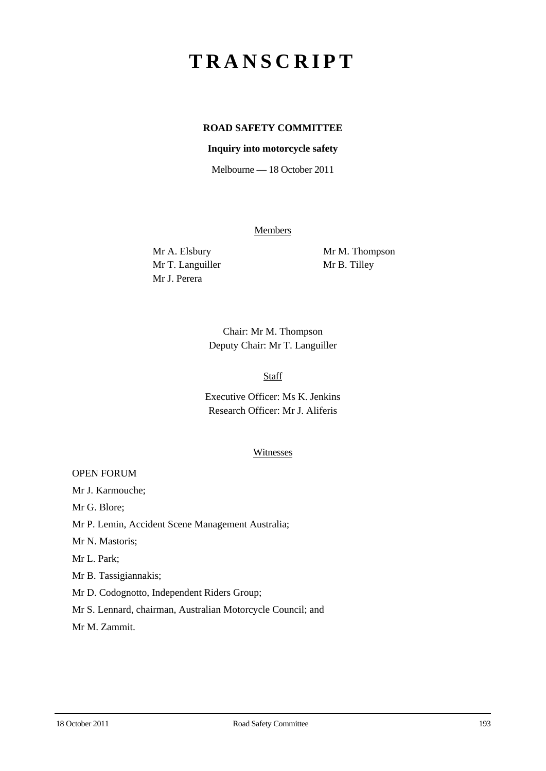# **TRANSCRIPT**

# **ROAD SAFETY COMMITTEE**

## **Inquiry into motorcycle safety**

Melbourne — 18 October 2011

Members

Mr T. Languiller Mr B. Tilley Mr J. Perera

Mr A. Elsbury Mr M. Thompson

Chair: Mr M. Thompson Deputy Chair: Mr T. Languiller

## Staff

Executive Officer: Ms K. Jenkins Research Officer: Mr J. Aliferis

#### Witnesses

OPEN FORUM

Mr J. Karmouche;

Mr G. Blore;

Mr P. Lemin, Accident Scene Management Australia;

Mr N. Mastoris;

Mr L. Park;

Mr B. Tassigiannakis;

Mr D. Codognotto, Independent Riders Group;

Mr S. Lennard, chairman, Australian Motorcycle Council; and

Mr M. Zammit.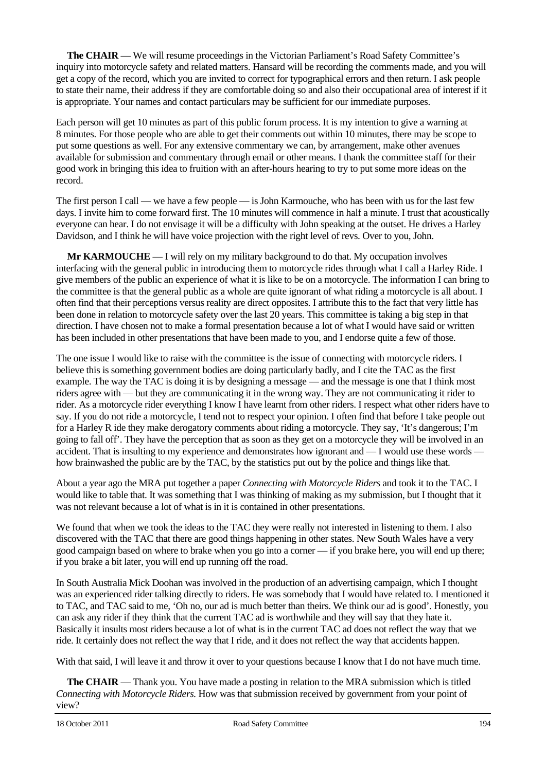**The CHAIR** — We will resume proceedings in the Victorian Parliament's Road Safety Committee's inquiry into motorcycle safety and related matters. Hansard will be recording the comments made, and you will get a copy of the record, which you are invited to correct for typographical errors and then return. I ask people to state their name, their address if they are comfortable doing so and also their occupational area of interest if it is appropriate. Your names and contact particulars may be sufficient for our immediate purposes.

Each person will get 10 minutes as part of this public forum process. It is my intention to give a warning at 8 minutes. For those people who are able to get their comments out within 10 minutes, there may be scope to put some questions as well. For any extensive commentary we can, by arrangement, make other avenues available for submission and commentary through email or other means. I thank the committee staff for their good work in bringing this idea to fruition with an after-hours hearing to try to put some more ideas on the record.

The first person I call — we have a few people — is John Karmouche, who has been with us for the last few days. I invite him to come forward first. The 10 minutes will commence in half a minute. I trust that acoustically everyone can hear. I do not envisage it will be a difficulty with John speaking at the outset. He drives a Harley Davidson, and I think he will have voice projection with the right level of revs. Over to you, John.

**Mr KARMOUCHE** — I will rely on my military background to do that. My occupation involves interfacing with the general public in introducing them to motorcycle rides through what I call a Harley Ride. I give members of the public an experience of what it is like to be on a motorcycle. The information I can bring to the committee is that the general public as a whole are quite ignorant of what riding a motorcycle is all about. I often find that their perceptions versus reality are direct opposites. I attribute this to the fact that very little has been done in relation to motorcycle safety over the last 20 years. This committee is taking a big step in that direction. I have chosen not to make a formal presentation because a lot of what I would have said or written has been included in other presentations that have been made to you, and I endorse quite a few of those.

The one issue I would like to raise with the committee is the issue of connecting with motorcycle riders. I believe this is something government bodies are doing particularly badly, and I cite the TAC as the first example. The way the TAC is doing it is by designing a message — and the message is one that I think most riders agree with — but they are communicating it in the wrong way. They are not communicating it rider to rider. As a motorcycle rider everything I know I have learnt from other riders. I respect what other riders have to say. If you do not ride a motorcycle, I tend not to respect your opinion. I often find that before I take people out for a Harley R ide they make derogatory comments about riding a motorcycle. They say, 'It's dangerous; I'm going to fall off'. They have the perception that as soon as they get on a motorcycle they will be involved in an accident. That is insulting to my experience and demonstrates how ignorant and — I would use these words how brainwashed the public are by the TAC, by the statistics put out by the police and things like that.

About a year ago the MRA put together a paper *Connecting with Motorcycle Riders* and took it to the TAC. I would like to table that. It was something that I was thinking of making as my submission, but I thought that it was not relevant because a lot of what is in it is contained in other presentations.

We found that when we took the ideas to the TAC they were really not interested in listening to them. I also discovered with the TAC that there are good things happening in other states. New South Wales have a very good campaign based on where to brake when you go into a corner — if you brake here, you will end up there; if you brake a bit later, you will end up running off the road.

In South Australia Mick Doohan was involved in the production of an advertising campaign, which I thought was an experienced rider talking directly to riders. He was somebody that I would have related to. I mentioned it to TAC, and TAC said to me, 'Oh no, our ad is much better than theirs. We think our ad is good'. Honestly, you can ask any rider if they think that the current TAC ad is worthwhile and they will say that they hate it. Basically it insults most riders because a lot of what is in the current TAC ad does not reflect the way that we ride. It certainly does not reflect the way that I ride, and it does not reflect the way that accidents happen.

With that said, I will leave it and throw it over to your questions because I know that I do not have much time.

**The CHAIR** — Thank you. You have made a posting in relation to the MRA submission which is titled *Connecting with Motorcycle Riders.* How was that submission received by government from your point of view?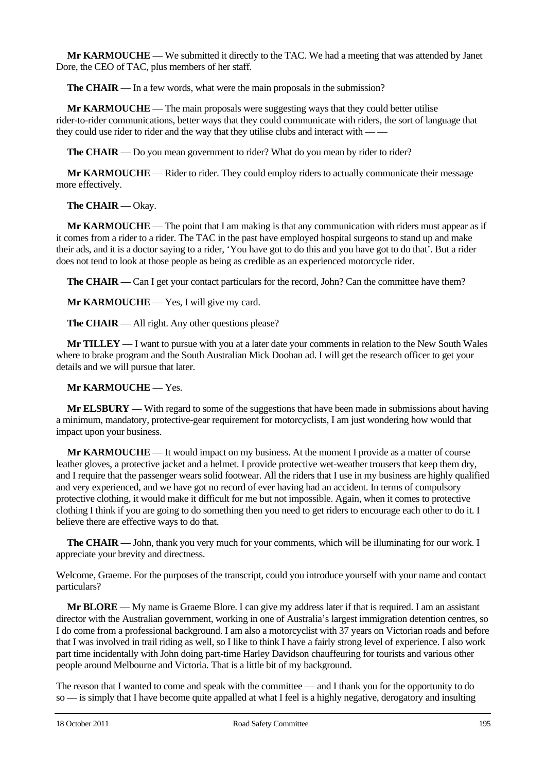**Mr KARMOUCHE** — We submitted it directly to the TAC. We had a meeting that was attended by Janet Dore, the CEO of TAC, plus members of her staff.

**The CHAIR** — In a few words, what were the main proposals in the submission?

**Mr KARMOUCHE** — The main proposals were suggesting ways that they could better utilise rider-to-rider communications, better ways that they could communicate with riders, the sort of language that they could use rider to rider and the way that they utilise clubs and interact with -

**The CHAIR** — Do you mean government to rider? What do you mean by rider to rider?

**Mr KARMOUCHE** — Rider to rider. They could employ riders to actually communicate their message more effectively.

**The CHAIR** — Okay.

**Mr KARMOUCHE** — The point that I am making is that any communication with riders must appear as if it comes from a rider to a rider. The TAC in the past have employed hospital surgeons to stand up and make their ads, and it is a doctor saying to a rider, 'You have got to do this and you have got to do that'. But a rider does not tend to look at those people as being as credible as an experienced motorcycle rider.

**The CHAIR** — Can I get your contact particulars for the record, John? Can the committee have them?

**Mr KARMOUCHE** — Yes, I will give my card.

**The CHAIR** — All right. Any other questions please?

**Mr TILLEY** — I want to pursue with you at a later date your comments in relation to the New South Wales where to brake program and the South Australian Mick Doohan ad. I will get the research officer to get your details and we will pursue that later.

#### **Mr KARMOUCHE** — Yes.

**Mr ELSBURY** — With regard to some of the suggestions that have been made in submissions about having a minimum, mandatory, protective-gear requirement for motorcyclists, I am just wondering how would that impact upon your business.

**Mr KARMOUCHE** — It would impact on my business. At the moment I provide as a matter of course leather gloves, a protective jacket and a helmet. I provide protective wet-weather trousers that keep them dry, and I require that the passenger wears solid footwear. All the riders that I use in my business are highly qualified and very experienced, and we have got no record of ever having had an accident. In terms of compulsory protective clothing, it would make it difficult for me but not impossible. Again, when it comes to protective clothing I think if you are going to do something then you need to get riders to encourage each other to do it. I believe there are effective ways to do that.

**The CHAIR** — John, thank you very much for your comments, which will be illuminating for our work. I appreciate your brevity and directness.

Welcome, Graeme. For the purposes of the transcript, could you introduce yourself with your name and contact particulars?

**Mr BLORE** — My name is Graeme Blore. I can give my address later if that is required. I am an assistant director with the Australian government, working in one of Australia's largest immigration detention centres, so I do come from a professional background. I am also a motorcyclist with 37 years on Victorian roads and before that I was involved in trail riding as well, so I like to think I have a fairly strong level of experience. I also work part time incidentally with John doing part-time Harley Davidson chauffeuring for tourists and various other people around Melbourne and Victoria. That is a little bit of my background.

The reason that I wanted to come and speak with the committee — and I thank you for the opportunity to do so — is simply that I have become quite appalled at what I feel is a highly negative, derogatory and insulting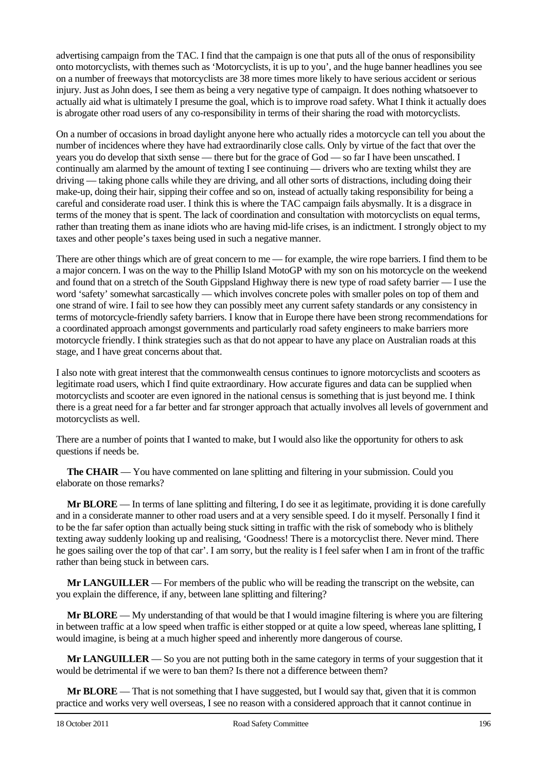advertising campaign from the TAC. I find that the campaign is one that puts all of the onus of responsibility onto motorcyclists, with themes such as 'Motorcyclists, it is up to you', and the huge banner headlines you see on a number of freeways that motorcyclists are 38 more times more likely to have serious accident or serious injury. Just as John does, I see them as being a very negative type of campaign. It does nothing whatsoever to actually aid what is ultimately I presume the goal, which is to improve road safety. What I think it actually does is abrogate other road users of any co-responsibility in terms of their sharing the road with motorcyclists.

On a number of occasions in broad daylight anyone here who actually rides a motorcycle can tell you about the number of incidences where they have had extraordinarily close calls. Only by virtue of the fact that over the years you do develop that sixth sense — there but for the grace of God — so far I have been unscathed. I continually am alarmed by the amount of texting I see continuing — drivers who are texting whilst they are driving — taking phone calls while they are driving, and all other sorts of distractions, including doing their make-up, doing their hair, sipping their coffee and so on, instead of actually taking responsibility for being a careful and considerate road user. I think this is where the TAC campaign fails abysmally. It is a disgrace in terms of the money that is spent. The lack of coordination and consultation with motorcyclists on equal terms, rather than treating them as inane idiots who are having mid-life crises, is an indictment. I strongly object to my taxes and other people's taxes being used in such a negative manner.

There are other things which are of great concern to me — for example, the wire rope barriers. I find them to be a major concern. I was on the way to the Phillip Island MotoGP with my son on his motorcycle on the weekend and found that on a stretch of the South Gippsland Highway there is new type of road safety barrier — I use the word 'safety' somewhat sarcastically — which involves concrete poles with smaller poles on top of them and one strand of wire. I fail to see how they can possibly meet any current safety standards or any consistency in terms of motorcycle-friendly safety barriers. I know that in Europe there have been strong recommendations for a coordinated approach amongst governments and particularly road safety engineers to make barriers more motorcycle friendly. I think strategies such as that do not appear to have any place on Australian roads at this stage, and I have great concerns about that.

I also note with great interest that the commonwealth census continues to ignore motorcyclists and scooters as legitimate road users, which I find quite extraordinary. How accurate figures and data can be supplied when motorcyclists and scooter are even ignored in the national census is something that is just beyond me. I think there is a great need for a far better and far stronger approach that actually involves all levels of government and motorcyclists as well.

There are a number of points that I wanted to make, but I would also like the opportunity for others to ask questions if needs be.

**The CHAIR** — You have commented on lane splitting and filtering in your submission. Could you elaborate on those remarks?

**Mr BLORE** — In terms of lane splitting and filtering, I do see it as legitimate, providing it is done carefully and in a considerate manner to other road users and at a very sensible speed. I do it myself. Personally I find it to be the far safer option than actually being stuck sitting in traffic with the risk of somebody who is blithely texting away suddenly looking up and realising, 'Goodness! There is a motorcyclist there. Never mind. There he goes sailing over the top of that car'. I am sorry, but the reality is I feel safer when I am in front of the traffic rather than being stuck in between cars.

**Mr LANGUILLER** — For members of the public who will be reading the transcript on the website, can you explain the difference, if any, between lane splitting and filtering?

**Mr BLORE** — My understanding of that would be that I would imagine filtering is where you are filtering in between traffic at a low speed when traffic is either stopped or at quite a low speed, whereas lane splitting, I would imagine, is being at a much higher speed and inherently more dangerous of course.

**Mr LANGUILLER** — So you are not putting both in the same category in terms of your suggestion that it would be detrimental if we were to ban them? Is there not a difference between them?

**Mr BLORE** — That is not something that I have suggested, but I would say that, given that it is common practice and works very well overseas, I see no reason with a considered approach that it cannot continue in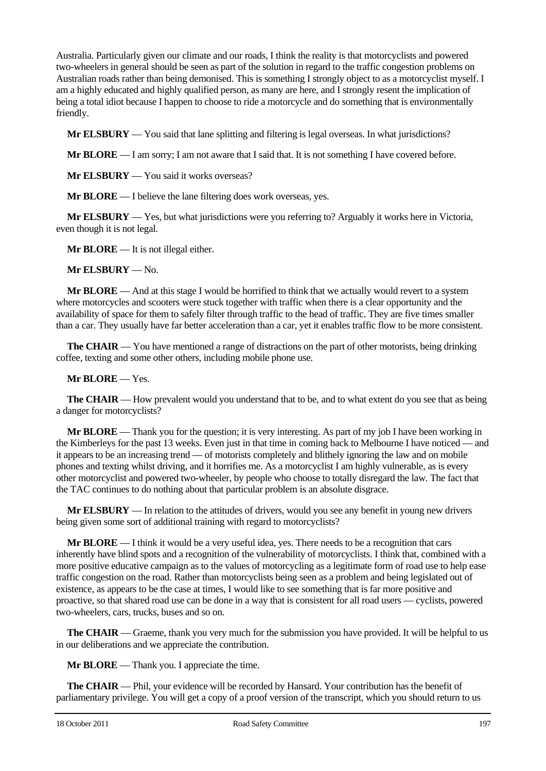Australia. Particularly given our climate and our roads, I think the reality is that motorcyclists and powered two-wheelers in general should be seen as part of the solution in regard to the traffic congestion problems on Australian roads rather than being demonised. This is something I strongly object to as a motorcyclist myself. I am a highly educated and highly qualified person, as many are here, and I strongly resent the implication of being a total idiot because I happen to choose to ride a motorcycle and do something that is environmentally friendly.

**Mr ELSBURY** — You said that lane splitting and filtering is legal overseas. In what jurisdictions?

**Mr BLORE** — I am sorry; I am not aware that I said that. It is not something I have covered before.

**Mr ELSBURY** — You said it works overseas?

**Mr BLORE** — I believe the lane filtering does work overseas, yes.

**Mr ELSBURY** — Yes, but what jurisdictions were you referring to? Arguably it works here in Victoria, even though it is not legal.

**Mr BLORE** — It is not illegal either.

**Mr ELSBURY** — No.

**Mr BLORE** — And at this stage I would be horrified to think that we actually would revert to a system where motorcycles and scooters were stuck together with traffic when there is a clear opportunity and the availability of space for them to safely filter through traffic to the head of traffic. They are five times smaller than a car. They usually have far better acceleration than a car, yet it enables traffic flow to be more consistent.

**The CHAIR** — You have mentioned a range of distractions on the part of other motorists, being drinking coffee, texting and some other others, including mobile phone use.

#### **Mr BLORE** — Yes.

**The CHAIR** — How prevalent would you understand that to be, and to what extent do you see that as being a danger for motorcyclists?

**Mr BLORE** — Thank you for the question; it is very interesting. As part of my job I have been working in the Kimberleys for the past 13 weeks. Even just in that time in coming back to Melbourne I have noticed — and it appears to be an increasing trend — of motorists completely and blithely ignoring the law and on mobile phones and texting whilst driving, and it horrifies me. As a motorcyclist I am highly vulnerable, as is every other motorcyclist and powered two-wheeler, by people who choose to totally disregard the law. The fact that the TAC continues to do nothing about that particular problem is an absolute disgrace.

**Mr ELSBURY** — In relation to the attitudes of drivers, would you see any benefit in young new drivers being given some sort of additional training with regard to motorcyclists?

**Mr BLORE** — I think it would be a very useful idea, yes. There needs to be a recognition that cars inherently have blind spots and a recognition of the vulnerability of motorcyclists. I think that, combined with a more positive educative campaign as to the values of motorcycling as a legitimate form of road use to help ease traffic congestion on the road. Rather than motorcyclists being seen as a problem and being legislated out of existence, as appears to be the case at times, I would like to see something that is far more positive and proactive, so that shared road use can be done in a way that is consistent for all road users — cyclists, powered two-wheelers, cars, trucks, buses and so on.

**The CHAIR** — Graeme, thank you very much for the submission you have provided. It will be helpful to us in our deliberations and we appreciate the contribution.

**Mr BLORE** — Thank you. I appreciate the time.

**The CHAIR** — Phil, your evidence will be recorded by Hansard. Your contribution has the benefit of parliamentary privilege. You will get a copy of a proof version of the transcript, which you should return to us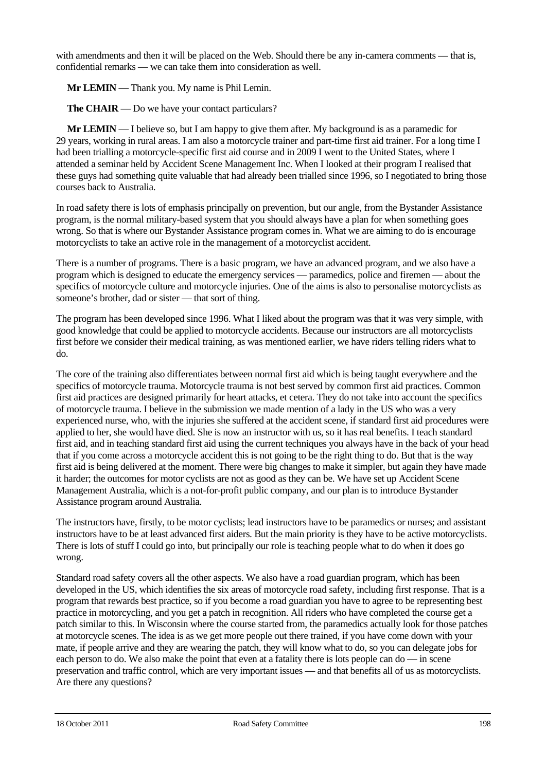with amendments and then it will be placed on the Web. Should there be any in-camera comments — that is, confidential remarks — we can take them into consideration as well.

**Mr LEMIN** — Thank you. My name is Phil Lemin.

**The CHAIR** — Do we have your contact particulars?

**Mr LEMIN** — I believe so, but I am happy to give them after. My background is as a paramedic for 29 years, working in rural areas. I am also a motorcycle trainer and part-time first aid trainer. For a long time I had been trialling a motorcycle-specific first aid course and in 2009 I went to the United States, where I attended a seminar held by Accident Scene Management Inc. When I looked at their program I realised that these guys had something quite valuable that had already been trialled since 1996, so I negotiated to bring those courses back to Australia.

In road safety there is lots of emphasis principally on prevention, but our angle, from the Bystander Assistance program, is the normal military-based system that you should always have a plan for when something goes wrong. So that is where our Bystander Assistance program comes in. What we are aiming to do is encourage motorcyclists to take an active role in the management of a motorcyclist accident.

There is a number of programs. There is a basic program, we have an advanced program, and we also have a program which is designed to educate the emergency services — paramedics, police and firemen — about the specifics of motorcycle culture and motorcycle injuries. One of the aims is also to personalise motorcyclists as someone's brother, dad or sister — that sort of thing.

The program has been developed since 1996. What I liked about the program was that it was very simple, with good knowledge that could be applied to motorcycle accidents. Because our instructors are all motorcyclists first before we consider their medical training, as was mentioned earlier, we have riders telling riders what to do.

The core of the training also differentiates between normal first aid which is being taught everywhere and the specifics of motorcycle trauma. Motorcycle trauma is not best served by common first aid practices. Common first aid practices are designed primarily for heart attacks, et cetera. They do not take into account the specifics of motorcycle trauma. I believe in the submission we made mention of a lady in the US who was a very experienced nurse, who, with the injuries she suffered at the accident scene, if standard first aid procedures were applied to her, she would have died. She is now an instructor with us, so it has real benefits. I teach standard first aid, and in teaching standard first aid using the current techniques you always have in the back of your head that if you come across a motorcycle accident this is not going to be the right thing to do. But that is the way first aid is being delivered at the moment. There were big changes to make it simpler, but again they have made it harder; the outcomes for motor cyclists are not as good as they can be. We have set up Accident Scene Management Australia, which is a not-for-profit public company, and our plan is to introduce Bystander Assistance program around Australia.

The instructors have, firstly, to be motor cyclists; lead instructors have to be paramedics or nurses; and assistant instructors have to be at least advanced first aiders. But the main priority is they have to be active motorcyclists. There is lots of stuff I could go into, but principally our role is teaching people what to do when it does go wrong.

Standard road safety covers all the other aspects. We also have a road guardian program, which has been developed in the US, which identifies the six areas of motorcycle road safety, including first response. That is a program that rewards best practice, so if you become a road guardian you have to agree to be representing best practice in motorcycling, and you get a patch in recognition. All riders who have completed the course get a patch similar to this. In Wisconsin where the course started from, the paramedics actually look for those patches at motorcycle scenes. The idea is as we get more people out there trained, if you have come down with your mate, if people arrive and they are wearing the patch, they will know what to do, so you can delegate jobs for each person to do. We also make the point that even at a fatality there is lots people can do — in scene preservation and traffic control, which are very important issues — and that benefits all of us as motorcyclists. Are there any questions?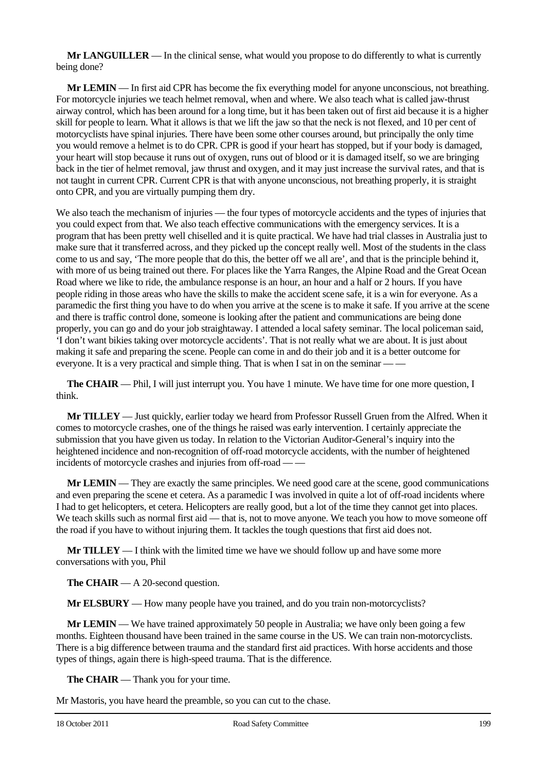**Mr LANGUILLER** — In the clinical sense, what would you propose to do differently to what is currently being done?

**Mr LEMIN** — In first aid CPR has become the fix everything model for anyone unconscious, not breathing. For motorcycle injuries we teach helmet removal, when and where. We also teach what is called jaw-thrust airway control, which has been around for a long time, but it has been taken out of first aid because it is a higher skill for people to learn. What it allows is that we lift the jaw so that the neck is not flexed, and 10 per cent of motorcyclists have spinal injuries. There have been some other courses around, but principally the only time you would remove a helmet is to do CPR. CPR is good if your heart has stopped, but if your body is damaged, your heart will stop because it runs out of oxygen, runs out of blood or it is damaged itself, so we are bringing back in the tier of helmet removal, jaw thrust and oxygen, and it may just increase the survival rates, and that is not taught in current CPR. Current CPR is that with anyone unconscious, not breathing properly, it is straight onto CPR, and you are virtually pumping them dry.

We also teach the mechanism of injuries — the four types of motorcycle accidents and the types of injuries that you could expect from that. We also teach effective communications with the emergency services. It is a program that has been pretty well chiselled and it is quite practical. We have had trial classes in Australia just to make sure that it transferred across, and they picked up the concept really well. Most of the students in the class come to us and say, 'The more people that do this, the better off we all are', and that is the principle behind it, with more of us being trained out there. For places like the Yarra Ranges, the Alpine Road and the Great Ocean Road where we like to ride, the ambulance response is an hour, an hour and a half or 2 hours. If you have people riding in those areas who have the skills to make the accident scene safe, it is a win for everyone. As a paramedic the first thing you have to do when you arrive at the scene is to make it safe. If you arrive at the scene and there is traffic control done, someone is looking after the patient and communications are being done properly, you can go and do your job straightaway. I attended a local safety seminar. The local policeman said, 'I don't want bikies taking over motorcycle accidents'. That is not really what we are about. It is just about making it safe and preparing the scene. People can come in and do their job and it is a better outcome for everyone. It is a very practical and simple thing. That is when I sat in on the seminar —

**The CHAIR** — Phil, I will just interrupt you. You have 1 minute. We have time for one more question, I think.

**Mr TILLEY** — Just quickly, earlier today we heard from Professor Russell Gruen from the Alfred. When it comes to motorcycle crashes, one of the things he raised was early intervention. I certainly appreciate the submission that you have given us today. In relation to the Victorian Auditor-General's inquiry into the heightened incidence and non-recognition of off-road motorcycle accidents, with the number of heightened incidents of motorcycle crashes and injuries from off-road — —

**Mr LEMIN** — They are exactly the same principles. We need good care at the scene, good communications and even preparing the scene et cetera. As a paramedic I was involved in quite a lot of off-road incidents where I had to get helicopters, et cetera. Helicopters are really good, but a lot of the time they cannot get into places. We teach skills such as normal first aid — that is, not to move anyone. We teach you how to move someone off the road if you have to without injuring them. It tackles the tough questions that first aid does not.

**Mr TILLEY** — I think with the limited time we have we should follow up and have some more conversations with you, Phil

**The CHAIR** — A 20-second question.

**Mr ELSBURY** — How many people have you trained, and do you train non-motorcyclists?

**Mr LEMIN** — We have trained approximately 50 people in Australia; we have only been going a few months. Eighteen thousand have been trained in the same course in the US. We can train non-motorcyclists. There is a big difference between trauma and the standard first aid practices. With horse accidents and those types of things, again there is high-speed trauma. That is the difference.

**The CHAIR** — Thank you for your time.

Mr Mastoris, you have heard the preamble, so you can cut to the chase.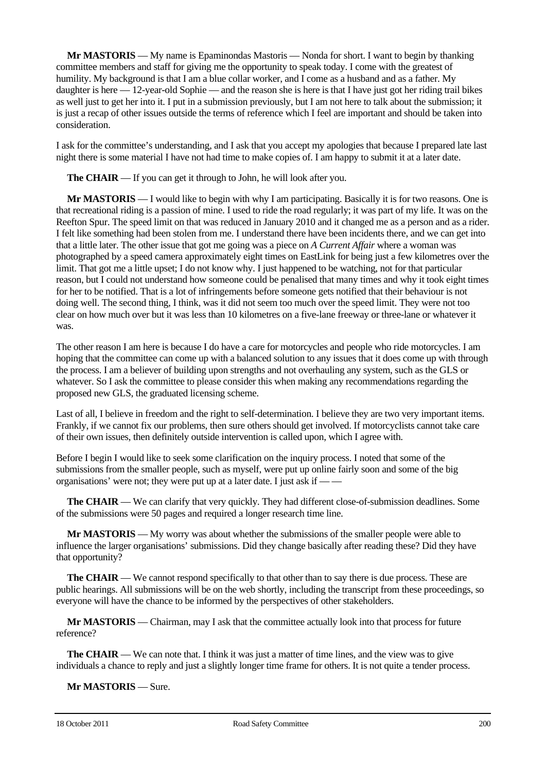**Mr MASTORIS** — My name is Epaminondas Mastoris — Nonda for short. I want to begin by thanking committee members and staff for giving me the opportunity to speak today. I come with the greatest of humility. My background is that I am a blue collar worker, and I come as a husband and as a father. My daughter is here — 12-year-old Sophie — and the reason she is here is that I have just got her riding trail bikes as well just to get her into it. I put in a submission previously, but I am not here to talk about the submission; it is just a recap of other issues outside the terms of reference which I feel are important and should be taken into consideration.

I ask for the committee's understanding, and I ask that you accept my apologies that because I prepared late last night there is some material I have not had time to make copies of. I am happy to submit it at a later date.

**The CHAIR** — If you can get it through to John, he will look after you.

**Mr MASTORIS** — I would like to begin with why I am participating. Basically it is for two reasons. One is that recreational riding is a passion of mine. I used to ride the road regularly; it was part of my life. It was on the Reefton Spur. The speed limit on that was reduced in January 2010 and it changed me as a person and as a rider. I felt like something had been stolen from me. I understand there have been incidents there, and we can get into that a little later. The other issue that got me going was a piece on *A Current Affair* where a woman was photographed by a speed camera approximately eight times on EastLink for being just a few kilometres over the limit. That got me a little upset; I do not know why. I just happened to be watching, not for that particular reason, but I could not understand how someone could be penalised that many times and why it took eight times for her to be notified. That is a lot of infringements before someone gets notified that their behaviour is not doing well. The second thing, I think, was it did not seem too much over the speed limit. They were not too clear on how much over but it was less than 10 kilometres on a five-lane freeway or three-lane or whatever it was.

The other reason I am here is because I do have a care for motorcycles and people who ride motorcycles. I am hoping that the committee can come up with a balanced solution to any issues that it does come up with through the process. I am a believer of building upon strengths and not overhauling any system, such as the GLS or whatever. So I ask the committee to please consider this when making any recommendations regarding the proposed new GLS, the graduated licensing scheme.

Last of all, I believe in freedom and the right to self-determination. I believe they are two very important items. Frankly, if we cannot fix our problems, then sure others should get involved. If motorcyclists cannot take care of their own issues, then definitely outside intervention is called upon, which I agree with.

Before I begin I would like to seek some clarification on the inquiry process. I noted that some of the submissions from the smaller people, such as myself, were put up online fairly soon and some of the big organisations' were not; they were put up at a later date. I just ask if -

**The CHAIR** — We can clarify that very quickly. They had different close-of-submission deadlines. Some of the submissions were 50 pages and required a longer research time line.

**Mr MASTORIS** — My worry was about whether the submissions of the smaller people were able to influence the larger organisations' submissions. Did they change basically after reading these? Did they have that opportunity?

**The CHAIR** — We cannot respond specifically to that other than to say there is due process. These are public hearings. All submissions will be on the web shortly, including the transcript from these proceedings, so everyone will have the chance to be informed by the perspectives of other stakeholders.

**Mr MASTORIS** — Chairman, may I ask that the committee actually look into that process for future reference?

**The CHAIR** — We can note that. I think it was just a matter of time lines, and the view was to give individuals a chance to reply and just a slightly longer time frame for others. It is not quite a tender process.

**Mr MASTORIS** — Sure.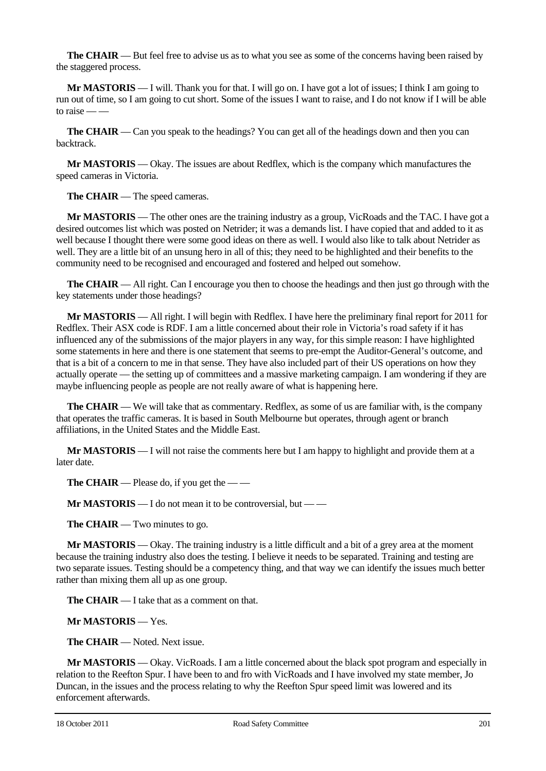**The CHAIR** — But feel free to advise us as to what you see as some of the concerns having been raised by the staggered process.

**Mr MASTORIS** — I will. Thank you for that. I will go on. I have got a lot of issues; I think I am going to run out of time, so I am going to cut short. Some of the issues I want to raise, and I do not know if I will be able to raise –

**The CHAIR** — Can you speak to the headings? You can get all of the headings down and then you can backtrack.

**Mr MASTORIS** — Okay. The issues are about Redflex, which is the company which manufactures the speed cameras in Victoria.

**The CHAIR** — The speed cameras.

**Mr MASTORIS** — The other ones are the training industry as a group, VicRoads and the TAC. I have got a desired outcomes list which was posted on Netrider; it was a demands list. I have copied that and added to it as well because I thought there were some good ideas on there as well. I would also like to talk about Netrider as well. They are a little bit of an unsung hero in all of this; they need to be highlighted and their benefits to the community need to be recognised and encouraged and fostered and helped out somehow.

**The CHAIR** — All right. Can I encourage you then to choose the headings and then just go through with the key statements under those headings?

**Mr MASTORIS** — All right. I will begin with Redflex. I have here the preliminary final report for 2011 for Redflex. Their ASX code is RDF. I am a little concerned about their role in Victoria's road safety if it has influenced any of the submissions of the major players in any way, for this simple reason: I have highlighted some statements in here and there is one statement that seems to pre-empt the Auditor-General's outcome, and that is a bit of a concern to me in that sense. They have also included part of their US operations on how they actually operate — the setting up of committees and a massive marketing campaign. I am wondering if they are maybe influencing people as people are not really aware of what is happening here.

**The CHAIR** — We will take that as commentary. Redflex, as some of us are familiar with, is the company that operates the traffic cameras. It is based in South Melbourne but operates, through agent or branch affiliations, in the United States and the Middle East.

**Mr MASTORIS** — I will not raise the comments here but I am happy to highlight and provide them at a later date.

**The CHAIR** — Please do, if you get the — —

**Mr MASTORIS** — I do not mean it to be controversial, but — —

**The CHAIR** — Two minutes to go.

**Mr MASTORIS** — Okay. The training industry is a little difficult and a bit of a grey area at the moment because the training industry also does the testing. I believe it needs to be separated. Training and testing are two separate issues. Testing should be a competency thing, and that way we can identify the issues much better rather than mixing them all up as one group.

**The CHAIR** — I take that as a comment on that.

**Mr MASTORIS** — Yes.

**The CHAIR** — Noted. Next issue.

**Mr MASTORIS** — Okay. VicRoads. I am a little concerned about the black spot program and especially in relation to the Reefton Spur. I have been to and fro with VicRoads and I have involved my state member, Jo Duncan, in the issues and the process relating to why the Reefton Spur speed limit was lowered and its enforcement afterwards.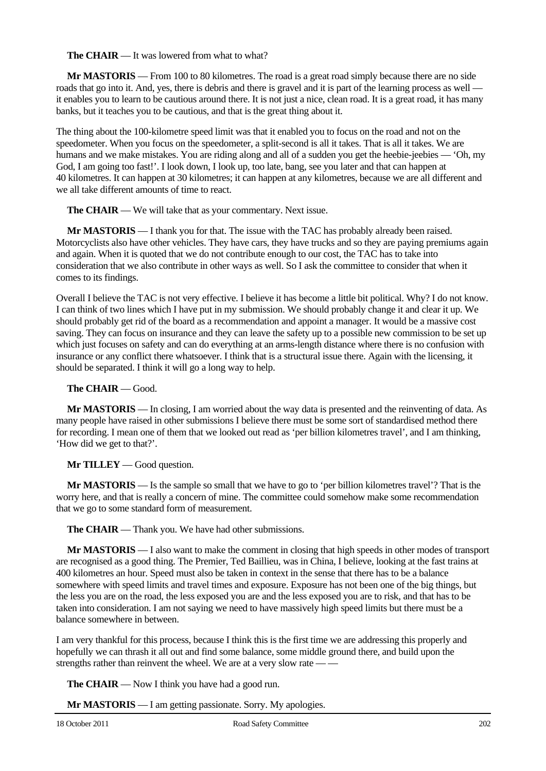**The CHAIR** — It was lowered from what to what?

**Mr MASTORIS** — From 100 to 80 kilometres. The road is a great road simply because there are no side roads that go into it. And, yes, there is debris and there is gravel and it is part of the learning process as well it enables you to learn to be cautious around there. It is not just a nice, clean road. It is a great road, it has many banks, but it teaches you to be cautious, and that is the great thing about it.

The thing about the 100-kilometre speed limit was that it enabled you to focus on the road and not on the speedometer. When you focus on the speedometer, a split-second is all it takes. That is all it takes. We are humans and we make mistakes. You are riding along and all of a sudden you get the heebie-jeebies — 'Oh, my God, I am going too fast!'. I look down, I look up, too late, bang, see you later and that can happen at 40 kilometres. It can happen at 30 kilometres; it can happen at any kilometres, because we are all different and we all take different amounts of time to react.

**The CHAIR** — We will take that as your commentary. Next issue.

**Mr MASTORIS** — I thank you for that. The issue with the TAC has probably already been raised. Motorcyclists also have other vehicles. They have cars, they have trucks and so they are paying premiums again and again. When it is quoted that we do not contribute enough to our cost, the TAC has to take into consideration that we also contribute in other ways as well. So I ask the committee to consider that when it comes to its findings.

Overall I believe the TAC is not very effective. I believe it has become a little bit political. Why? I do not know. I can think of two lines which I have put in my submission. We should probably change it and clear it up. We should probably get rid of the board as a recommendation and appoint a manager. It would be a massive cost saving. They can focus on insurance and they can leave the safety up to a possible new commission to be set up which just focuses on safety and can do everything at an arms-length distance where there is no confusion with insurance or any conflict there whatsoever. I think that is a structural issue there. Again with the licensing, it should be separated. I think it will go a long way to help.

#### **The CHAIR** — Good.

**Mr MASTORIS** — In closing, I am worried about the way data is presented and the reinventing of data. As many people have raised in other submissions I believe there must be some sort of standardised method there for recording. I mean one of them that we looked out read as 'per billion kilometres travel', and I am thinking, 'How did we get to that?'.

#### **Mr TILLEY** — Good question.

**Mr MASTORIS** — Is the sample so small that we have to go to 'per billion kilometres travel'? That is the worry here, and that is really a concern of mine. The committee could somehow make some recommendation that we go to some standard form of measurement.

**The CHAIR** — Thank you. We have had other submissions.

**Mr MASTORIS** — I also want to make the comment in closing that high speeds in other modes of transport are recognised as a good thing. The Premier, Ted Baillieu, was in China, I believe, looking at the fast trains at 400 kilometres an hour. Speed must also be taken in context in the sense that there has to be a balance somewhere with speed limits and travel times and exposure. Exposure has not been one of the big things, but the less you are on the road, the less exposed you are and the less exposed you are to risk, and that has to be taken into consideration. I am not saying we need to have massively high speed limits but there must be a balance somewhere in between.

I am very thankful for this process, because I think this is the first time we are addressing this properly and hopefully we can thrash it all out and find some balance, some middle ground there, and build upon the strengths rather than reinvent the wheel. We are at a very slow rate — —

**The CHAIR** — Now I think you have had a good run.

**Mr MASTORIS** — I am getting passionate. Sorry. My apologies.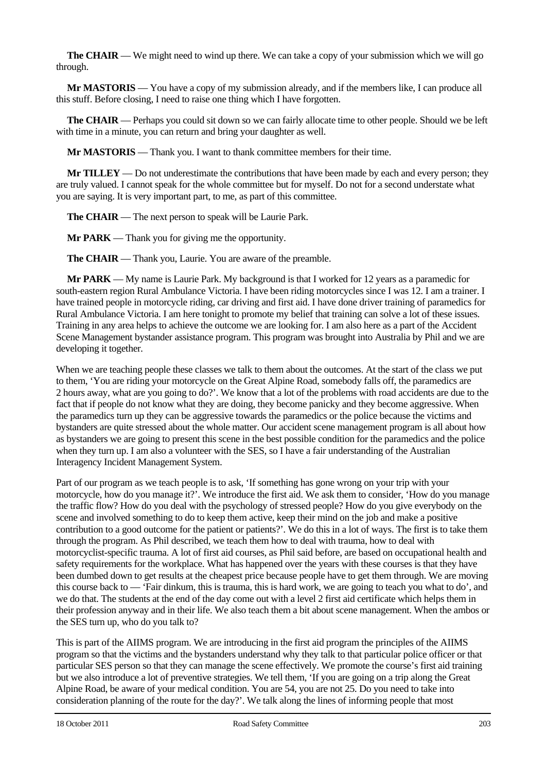**The CHAIR** — We might need to wind up there. We can take a copy of your submission which we will go through.

**Mr MASTORIS** — You have a copy of my submission already, and if the members like, I can produce all this stuff. Before closing, I need to raise one thing which I have forgotten.

**The CHAIR** — Perhaps you could sit down so we can fairly allocate time to other people. Should we be left with time in a minute, you can return and bring your daughter as well.

**Mr MASTORIS** — Thank you. I want to thank committee members for their time.

**Mr TILLEY** — Do not underestimate the contributions that have been made by each and every person; they are truly valued. I cannot speak for the whole committee but for myself. Do not for a second understate what you are saying. It is very important part, to me, as part of this committee.

**The CHAIR** — The next person to speak will be Laurie Park.

**Mr PARK** — Thank you for giving me the opportunity.

**The CHAIR** — Thank you, Laurie. You are aware of the preamble.

**Mr PARK** — My name is Laurie Park. My background is that I worked for 12 years as a paramedic for south-eastern region Rural Ambulance Victoria. I have been riding motorcycles since I was 12. I am a trainer. I have trained people in motorcycle riding, car driving and first aid. I have done driver training of paramedics for Rural Ambulance Victoria. I am here tonight to promote my belief that training can solve a lot of these issues. Training in any area helps to achieve the outcome we are looking for. I am also here as a part of the Accident Scene Management bystander assistance program. This program was brought into Australia by Phil and we are developing it together.

When we are teaching people these classes we talk to them about the outcomes. At the start of the class we put to them, 'You are riding your motorcycle on the Great Alpine Road, somebody falls off, the paramedics are 2 hours away, what are you going to do?'. We know that a lot of the problems with road accidents are due to the fact that if people do not know what they are doing, they become panicky and they become aggressive. When the paramedics turn up they can be aggressive towards the paramedics or the police because the victims and bystanders are quite stressed about the whole matter. Our accident scene management program is all about how as bystanders we are going to present this scene in the best possible condition for the paramedics and the police when they turn up. I am also a volunteer with the SES, so I have a fair understanding of the Australian Interagency Incident Management System.

Part of our program as we teach people is to ask, 'If something has gone wrong on your trip with your motorcycle, how do you manage it?'. We introduce the first aid. We ask them to consider, 'How do you manage the traffic flow? How do you deal with the psychology of stressed people? How do you give everybody on the scene and involved something to do to keep them active, keep their mind on the job and make a positive contribution to a good outcome for the patient or patients?'. We do this in a lot of ways. The first is to take them through the program. As Phil described, we teach them how to deal with trauma, how to deal with motorcyclist-specific trauma. A lot of first aid courses, as Phil said before, are based on occupational health and safety requirements for the workplace. What has happened over the years with these courses is that they have been dumbed down to get results at the cheapest price because people have to get them through. We are moving this course back to — 'Fair dinkum, this is trauma, this is hard work, we are going to teach you what to do', and we do that. The students at the end of the day come out with a level 2 first aid certificate which helps them in their profession anyway and in their life. We also teach them a bit about scene management. When the ambos or the SES turn up, who do you talk to?

This is part of the AIIMS program. We are introducing in the first aid program the principles of the AIIMS program so that the victims and the bystanders understand why they talk to that particular police officer or that particular SES person so that they can manage the scene effectively. We promote the course's first aid training but we also introduce a lot of preventive strategies. We tell them, 'If you are going on a trip along the Great Alpine Road, be aware of your medical condition. You are 54, you are not 25. Do you need to take into consideration planning of the route for the day?'. We talk along the lines of informing people that most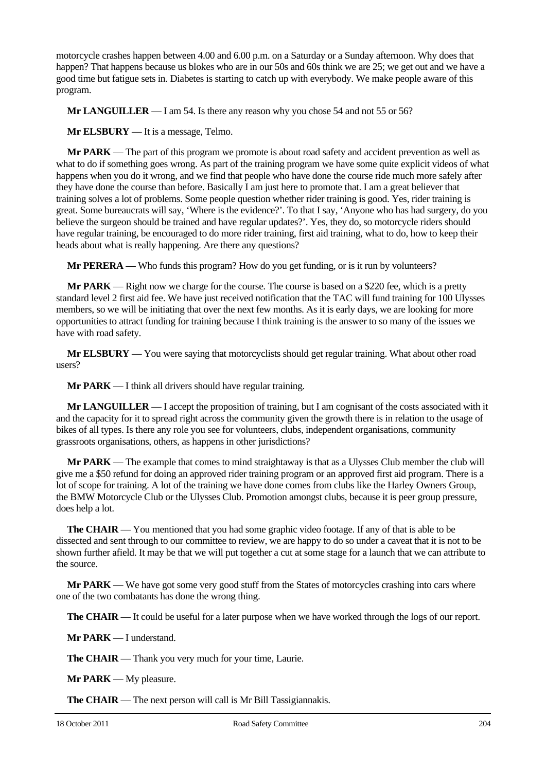motorcycle crashes happen between 4.00 and 6.00 p.m. on a Saturday or a Sunday afternoon. Why does that happen? That happens because us blokes who are in our 50s and 60s think we are 25; we get out and we have a good time but fatigue sets in. Diabetes is starting to catch up with everybody. We make people aware of this program.

**Mr LANGUILLER** — I am 54. Is there any reason why you chose 54 and not 55 or 56?

**Mr ELSBURY** — It is a message, Telmo.

**Mr PARK** — The part of this program we promote is about road safety and accident prevention as well as what to do if something goes wrong. As part of the training program we have some quite explicit videos of what happens when you do it wrong, and we find that people who have done the course ride much more safely after they have done the course than before. Basically I am just here to promote that. I am a great believer that training solves a lot of problems. Some people question whether rider training is good. Yes, rider training is great. Some bureaucrats will say, 'Where is the evidence?'. To that I say, 'Anyone who has had surgery, do you believe the surgeon should be trained and have regular updates?'. Yes, they do, so motorcycle riders should have regular training, be encouraged to do more rider training, first aid training, what to do, how to keep their heads about what is really happening. Are there any questions?

**Mr PERERA** — Who funds this program? How do you get funding, or is it run by volunteers?

**Mr PARK** — Right now we charge for the course. The course is based on a \$220 fee, which is a pretty standard level 2 first aid fee. We have just received notification that the TAC will fund training for 100 Ulysses members, so we will be initiating that over the next few months. As it is early days, we are looking for more opportunities to attract funding for training because I think training is the answer to so many of the issues we have with road safety.

**Mr ELSBURY** — You were saying that motorcyclists should get regular training. What about other road users?

**Mr PARK** — I think all drivers should have regular training.

**Mr LANGUILLER** — I accept the proposition of training, but I am cognisant of the costs associated with it and the capacity for it to spread right across the community given the growth there is in relation to the usage of bikes of all types. Is there any role you see for volunteers, clubs, independent organisations, community grassroots organisations, others, as happens in other jurisdictions?

**Mr PARK** — The example that comes to mind straightaway is that as a Ulysses Club member the club will give me a \$50 refund for doing an approved rider training program or an approved first aid program. There is a lot of scope for training. A lot of the training we have done comes from clubs like the Harley Owners Group, the BMW Motorcycle Club or the Ulysses Club. Promotion amongst clubs, because it is peer group pressure, does help a lot.

**The CHAIR** — You mentioned that you had some graphic video footage. If any of that is able to be dissected and sent through to our committee to review, we are happy to do so under a caveat that it is not to be shown further afield. It may be that we will put together a cut at some stage for a launch that we can attribute to the source.

**Mr PARK** — We have got some very good stuff from the States of motorcycles crashing into cars where one of the two combatants has done the wrong thing.

**The CHAIR** — It could be useful for a later purpose when we have worked through the logs of our report.

**Mr PARK** — I understand.

**The CHAIR** — Thank you very much for your time, Laurie.

**Mr PARK** — My pleasure.

**The CHAIR** — The next person will call is Mr Bill Tassigiannakis.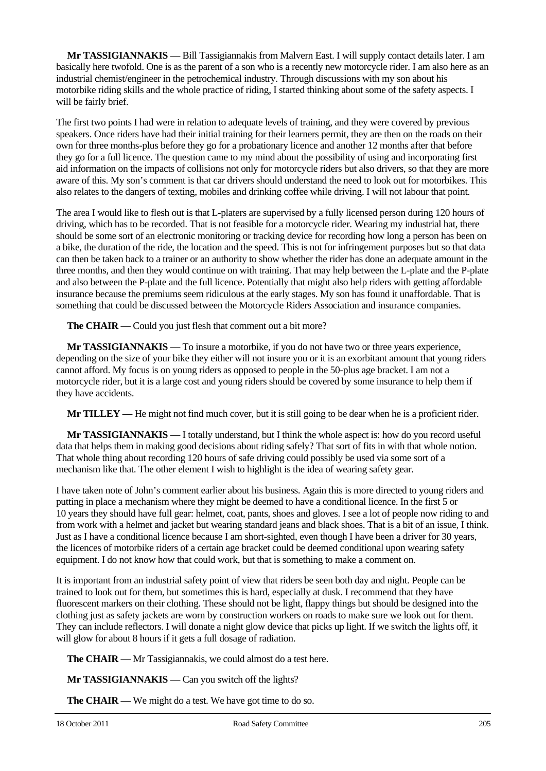**Mr TASSIGIANNAKIS** — Bill Tassigiannakis from Malvern East. I will supply contact details later. I am basically here twofold. One is as the parent of a son who is a recently new motorcycle rider. I am also here as an industrial chemist/engineer in the petrochemical industry. Through discussions with my son about his motorbike riding skills and the whole practice of riding, I started thinking about some of the safety aspects. I will be fairly brief.

The first two points I had were in relation to adequate levels of training, and they were covered by previous speakers. Once riders have had their initial training for their learners permit, they are then on the roads on their own for three months-plus before they go for a probationary licence and another 12 months after that before they go for a full licence. The question came to my mind about the possibility of using and incorporating first aid information on the impacts of collisions not only for motorcycle riders but also drivers, so that they are more aware of this. My son's comment is that car drivers should understand the need to look out for motorbikes. This also relates to the dangers of texting, mobiles and drinking coffee while driving. I will not labour that point.

The area I would like to flesh out is that L-platers are supervised by a fully licensed person during 120 hours of driving, which has to be recorded. That is not feasible for a motorcycle rider. Wearing my industrial hat, there should be some sort of an electronic monitoring or tracking device for recording how long a person has been on a bike, the duration of the ride, the location and the speed. This is not for infringement purposes but so that data can then be taken back to a trainer or an authority to show whether the rider has done an adequate amount in the three months, and then they would continue on with training. That may help between the L-plate and the P-plate and also between the P-plate and the full licence. Potentially that might also help riders with getting affordable insurance because the premiums seem ridiculous at the early stages. My son has found it unaffordable. That is something that could be discussed between the Motorcycle Riders Association and insurance companies.

**The CHAIR** — Could you just flesh that comment out a bit more?

**Mr TASSIGIANNAKIS** — To insure a motorbike, if you do not have two or three years experience, depending on the size of your bike they either will not insure you or it is an exorbitant amount that young riders cannot afford. My focus is on young riders as opposed to people in the 50-plus age bracket. I am not a motorcycle rider, but it is a large cost and young riders should be covered by some insurance to help them if they have accidents.

**Mr TILLEY** — He might not find much cover, but it is still going to be dear when he is a proficient rider.

**Mr TASSIGIANNAKIS** — I totally understand, but I think the whole aspect is: how do you record useful data that helps them in making good decisions about riding safely? That sort of fits in with that whole notion. That whole thing about recording 120 hours of safe driving could possibly be used via some sort of a mechanism like that. The other element I wish to highlight is the idea of wearing safety gear.

I have taken note of John's comment earlier about his business. Again this is more directed to young riders and putting in place a mechanism where they might be deemed to have a conditional licence. In the first 5 or 10 years they should have full gear: helmet, coat, pants, shoes and gloves. I see a lot of people now riding to and from work with a helmet and jacket but wearing standard jeans and black shoes. That is a bit of an issue, I think. Just as I have a conditional licence because I am short-sighted, even though I have been a driver for 30 years, the licences of motorbike riders of a certain age bracket could be deemed conditional upon wearing safety equipment. I do not know how that could work, but that is something to make a comment on.

It is important from an industrial safety point of view that riders be seen both day and night. People can be trained to look out for them, but sometimes this is hard, especially at dusk. I recommend that they have fluorescent markers on their clothing. These should not be light, flappy things but should be designed into the clothing just as safety jackets are worn by construction workers on roads to make sure we look out for them. They can include reflectors. I will donate a night glow device that picks up light. If we switch the lights off, it will glow for about 8 hours if it gets a full dosage of radiation.

**The CHAIR** — Mr Tassigiannakis, we could almost do a test here.

**Mr TASSIGIANNAKIS** — Can you switch off the lights?

**The CHAIR** — We might do a test. We have got time to do so.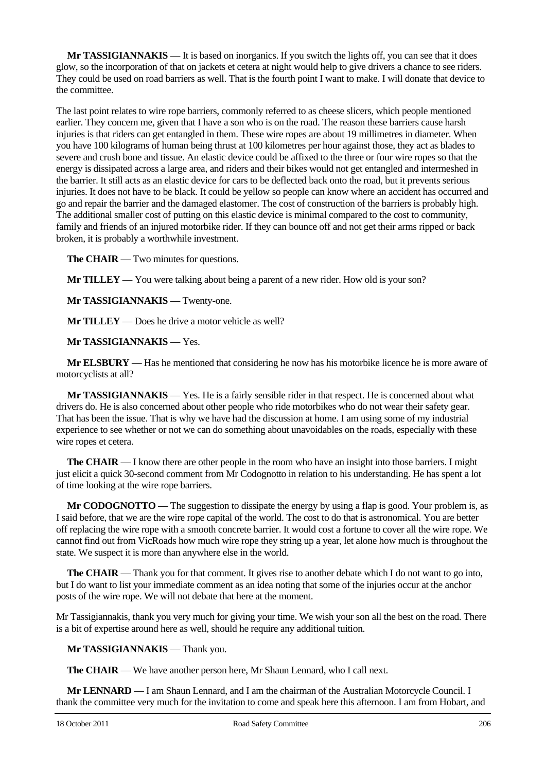**Mr TASSIGIANNAKIS** — It is based on inorganics. If you switch the lights off, you can see that it does glow, so the incorporation of that on jackets et cetera at night would help to give drivers a chance to see riders. They could be used on road barriers as well. That is the fourth point I want to make. I will donate that device to the committee.

The last point relates to wire rope barriers, commonly referred to as cheese slicers, which people mentioned earlier. They concern me, given that I have a son who is on the road. The reason these barriers cause harsh injuries is that riders can get entangled in them. These wire ropes are about 19 millimetres in diameter. When you have 100 kilograms of human being thrust at 100 kilometres per hour against those, they act as blades to severe and crush bone and tissue. An elastic device could be affixed to the three or four wire ropes so that the energy is dissipated across a large area, and riders and their bikes would not get entangled and intermeshed in the barrier. It still acts as an elastic device for cars to be deflected back onto the road, but it prevents serious injuries. It does not have to be black. It could be yellow so people can know where an accident has occurred and go and repair the barrier and the damaged elastomer. The cost of construction of the barriers is probably high. The additional smaller cost of putting on this elastic device is minimal compared to the cost to community, family and friends of an injured motorbike rider. If they can bounce off and not get their arms ripped or back broken, it is probably a worthwhile investment.

**The CHAIR** — Two minutes for questions.

**Mr TILLEY** — You were talking about being a parent of a new rider. How old is your son?

**Mr TASSIGIANNAKIS** — Twenty-one.

**Mr TILLEY** — Does he drive a motor vehicle as well?

**Mr TASSIGIANNAKIS** — Yes.

**Mr ELSBURY** — Has he mentioned that considering he now has his motorbike licence he is more aware of motorcyclists at all?

**Mr TASSIGIANNAKIS** — Yes. He is a fairly sensible rider in that respect. He is concerned about what drivers do. He is also concerned about other people who ride motorbikes who do not wear their safety gear. That has been the issue. That is why we have had the discussion at home. I am using some of my industrial experience to see whether or not we can do something about unavoidables on the roads, especially with these wire ropes et cetera.

**The CHAIR** — I know there are other people in the room who have an insight into those barriers. I might just elicit a quick 30-second comment from Mr Codognotto in relation to his understanding. He has spent a lot of time looking at the wire rope barriers.

**Mr CODOGNOTTO** — The suggestion to dissipate the energy by using a flap is good. Your problem is, as I said before, that we are the wire rope capital of the world. The cost to do that is astronomical. You are better off replacing the wire rope with a smooth concrete barrier. It would cost a fortune to cover all the wire rope. We cannot find out from VicRoads how much wire rope they string up a year, let alone how much is throughout the state. We suspect it is more than anywhere else in the world.

**The CHAIR** — Thank you for that comment. It gives rise to another debate which I do not want to go into, but I do want to list your immediate comment as an idea noting that some of the injuries occur at the anchor posts of the wire rope. We will not debate that here at the moment.

Mr Tassigiannakis, thank you very much for giving your time. We wish your son all the best on the road. There is a bit of expertise around here as well, should he require any additional tuition.

**Mr TASSIGIANNAKIS** — Thank you.

**The CHAIR** — We have another person here, Mr Shaun Lennard, who I call next.

**Mr LENNARD** — I am Shaun Lennard, and I am the chairman of the Australian Motorcycle Council. I thank the committee very much for the invitation to come and speak here this afternoon. I am from Hobart, and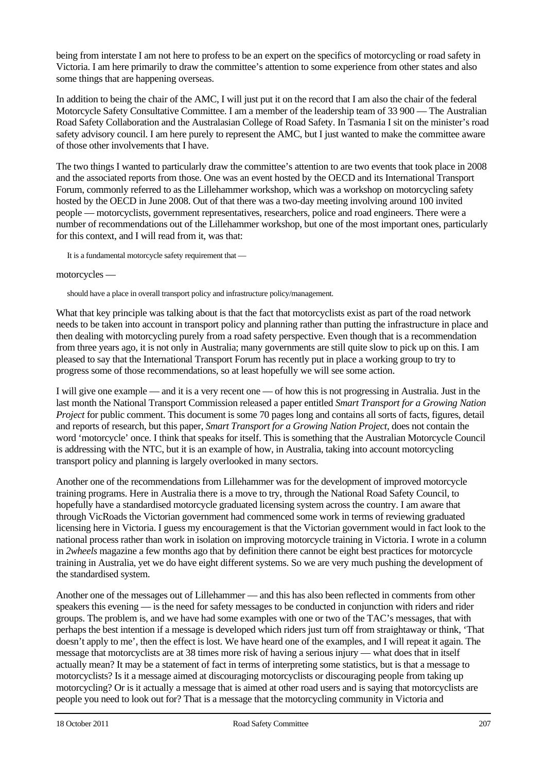being from interstate I am not here to profess to be an expert on the specifics of motorcycling or road safety in Victoria. I am here primarily to draw the committee's attention to some experience from other states and also some things that are happening overseas.

In addition to being the chair of the AMC, I will just put it on the record that I am also the chair of the federal Motorcycle Safety Consultative Committee. I am a member of the leadership team of 33 900 — The Australian Road Safety Collaboration and the Australasian College of Road Safety. In Tasmania I sit on the minister's road safety advisory council. I am here purely to represent the AMC, but I just wanted to make the committee aware of those other involvements that I have.

The two things I wanted to particularly draw the committee's attention to are two events that took place in 2008 and the associated reports from those. One was an event hosted by the OECD and its International Transport Forum, commonly referred to as the Lillehammer workshop, which was a workshop on motorcycling safety hosted by the OECD in June 2008. Out of that there was a two-day meeting involving around 100 invited people — motorcyclists, government representatives, researchers, police and road engineers. There were a number of recommendations out of the Lillehammer workshop, but one of the most important ones, particularly for this context, and I will read from it, was that:

It is a fundamental motorcycle safety requirement that —

#### motorcycles —

should have a place in overall transport policy and infrastructure policy/management.

What that key principle was talking about is that the fact that motorcyclists exist as part of the road network needs to be taken into account in transport policy and planning rather than putting the infrastructure in place and then dealing with motorcycling purely from a road safety perspective. Even though that is a recommendation from three years ago, it is not only in Australia; many governments are still quite slow to pick up on this. I am pleased to say that the International Transport Forum has recently put in place a working group to try to progress some of those recommendations, so at least hopefully we will see some action.

I will give one example — and it is a very recent one — of how this is not progressing in Australia. Just in the last month the National Transport Commission released a paper entitled *Smart Transport for a Growing Nation Project* for public comment. This document is some 70 pages long and contains all sorts of facts, figures, detail and reports of research, but this paper, *Smart Transport for a Growing Nation Project*, does not contain the word 'motorcycle' once. I think that speaks for itself. This is something that the Australian Motorcycle Council is addressing with the NTC, but it is an example of how, in Australia, taking into account motorcycling transport policy and planning is largely overlooked in many sectors.

Another one of the recommendations from Lillehammer was for the development of improved motorcycle training programs. Here in Australia there is a move to try, through the National Road Safety Council, to hopefully have a standardised motorcycle graduated licensing system across the country. I am aware that through VicRoads the Victorian government had commenced some work in terms of reviewing graduated licensing here in Victoria. I guess my encouragement is that the Victorian government would in fact look to the national process rather than work in isolation on improving motorcycle training in Victoria. I wrote in a column in *2wheels* magazine a few months ago that by definition there cannot be eight best practices for motorcycle training in Australia, yet we do have eight different systems. So we are very much pushing the development of the standardised system.

Another one of the messages out of Lillehammer — and this has also been reflected in comments from other speakers this evening — is the need for safety messages to be conducted in conjunction with riders and rider groups. The problem is, and we have had some examples with one or two of the TAC's messages, that with perhaps the best intention if a message is developed which riders just turn off from straightaway or think, 'That doesn't apply to me', then the effect is lost. We have heard one of the examples, and I will repeat it again. The message that motorcyclists are at 38 times more risk of having a serious injury — what does that in itself actually mean? It may be a statement of fact in terms of interpreting some statistics, but is that a message to motorcyclists? Is it a message aimed at discouraging motorcyclists or discouraging people from taking up motorcycling? Or is it actually a message that is aimed at other road users and is saying that motorcyclists are people you need to look out for? That is a message that the motorcycling community in Victoria and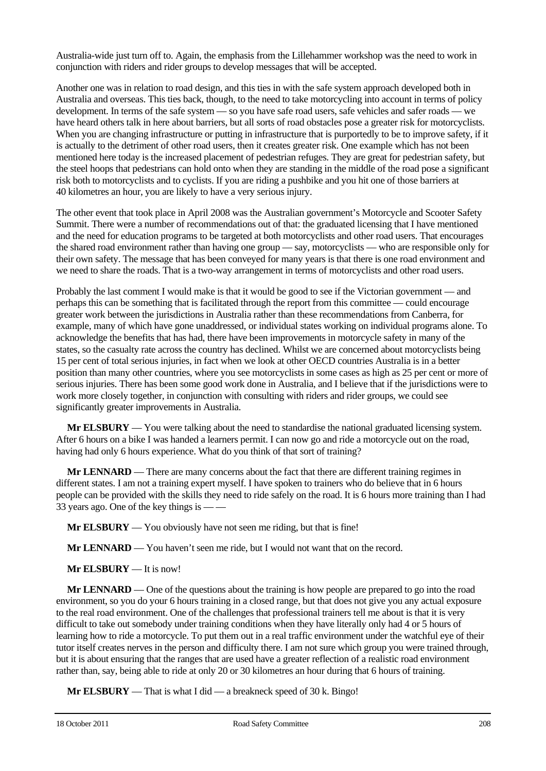Australia-wide just turn off to. Again, the emphasis from the Lillehammer workshop was the need to work in conjunction with riders and rider groups to develop messages that will be accepted.

Another one was in relation to road design, and this ties in with the safe system approach developed both in Australia and overseas. This ties back, though, to the need to take motorcycling into account in terms of policy development. In terms of the safe system — so you have safe road users, safe vehicles and safer roads — we have heard others talk in here about barriers, but all sorts of road obstacles pose a greater risk for motorcyclists. When you are changing infrastructure or putting in infrastructure that is purportedly to be to improve safety, if it is actually to the detriment of other road users, then it creates greater risk. One example which has not been mentioned here today is the increased placement of pedestrian refuges. They are great for pedestrian safety, but the steel hoops that pedestrians can hold onto when they are standing in the middle of the road pose a significant risk both to motorcyclists and to cyclists. If you are riding a pushbike and you hit one of those barriers at 40 kilometres an hour, you are likely to have a very serious injury.

The other event that took place in April 2008 was the Australian government's Motorcycle and Scooter Safety Summit. There were a number of recommendations out of that: the graduated licensing that I have mentioned and the need for education programs to be targeted at both motorcyclists and other road users. That encourages the shared road environment rather than having one group — say, motorcyclists — who are responsible only for their own safety. The message that has been conveyed for many years is that there is one road environment and we need to share the roads. That is a two-way arrangement in terms of motorcyclists and other road users.

Probably the last comment I would make is that it would be good to see if the Victorian government — and perhaps this can be something that is facilitated through the report from this committee — could encourage greater work between the jurisdictions in Australia rather than these recommendations from Canberra, for example, many of which have gone unaddressed, or individual states working on individual programs alone. To acknowledge the benefits that has had, there have been improvements in motorcycle safety in many of the states, so the casualty rate across the country has declined. Whilst we are concerned about motorcyclists being 15 per cent of total serious injuries, in fact when we look at other OECD countries Australia is in a better position than many other countries, where you see motorcyclists in some cases as high as 25 per cent or more of serious injuries. There has been some good work done in Australia, and I believe that if the jurisdictions were to work more closely together, in conjunction with consulting with riders and rider groups, we could see significantly greater improvements in Australia.

**Mr ELSBURY** — You were talking about the need to standardise the national graduated licensing system. After 6 hours on a bike I was handed a learners permit. I can now go and ride a motorcycle out on the road, having had only 6 hours experience. What do you think of that sort of training?

**Mr LENNARD** — There are many concerns about the fact that there are different training regimes in different states. I am not a training expert myself. I have spoken to trainers who do believe that in 6 hours people can be provided with the skills they need to ride safely on the road. It is 6 hours more training than I had 33 years ago. One of the key things is -

**Mr ELSBURY** — You obviously have not seen me riding, but that is fine!

**Mr LENNARD** — You haven't seen me ride, but I would not want that on the record.

**Mr ELSBURY** — It is now!

**Mr LENNARD** — One of the questions about the training is how people are prepared to go into the road environment, so you do your 6 hours training in a closed range, but that does not give you any actual exposure to the real road environment. One of the challenges that professional trainers tell me about is that it is very difficult to take out somebody under training conditions when they have literally only had 4 or 5 hours of learning how to ride a motorcycle. To put them out in a real traffic environment under the watchful eye of their tutor itself creates nerves in the person and difficulty there. I am not sure which group you were trained through, but it is about ensuring that the ranges that are used have a greater reflection of a realistic road environment rather than, say, being able to ride at only 20 or 30 kilometres an hour during that 6 hours of training.

**Mr ELSBURY** — That is what I did — a breakneck speed of 30 k. Bingo!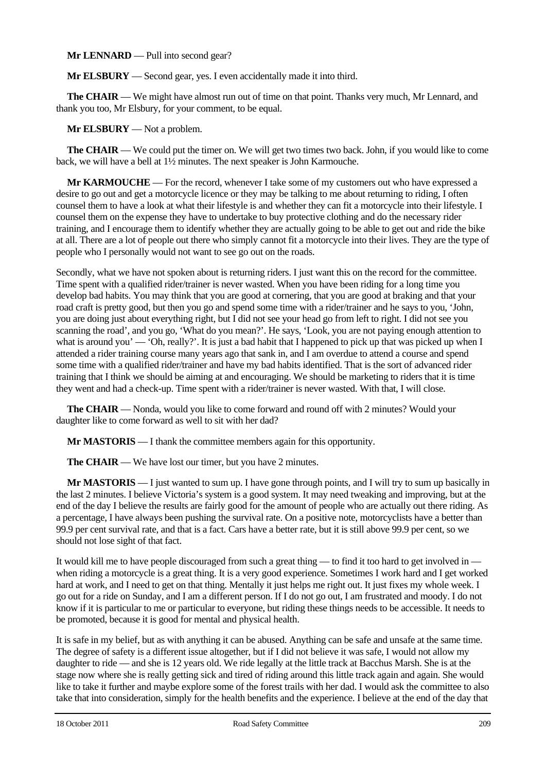**Mr LENNARD** — Pull into second gear?

**Mr ELSBURY** — Second gear, yes. I even accidentally made it into third.

**The CHAIR** — We might have almost run out of time on that point. Thanks very much, Mr Lennard, and thank you too, Mr Elsbury, for your comment, to be equal.

**Mr ELSBURY** — Not a problem.

**The CHAIR** — We could put the timer on. We will get two times two back. John, if you would like to come back, we will have a bell at 1½ minutes. The next speaker is John Karmouche.

**Mr KARMOUCHE** — For the record, whenever I take some of my customers out who have expressed a desire to go out and get a motorcycle licence or they may be talking to me about returning to riding, I often counsel them to have a look at what their lifestyle is and whether they can fit a motorcycle into their lifestyle. I counsel them on the expense they have to undertake to buy protective clothing and do the necessary rider training, and I encourage them to identify whether they are actually going to be able to get out and ride the bike at all. There are a lot of people out there who simply cannot fit a motorcycle into their lives. They are the type of people who I personally would not want to see go out on the roads.

Secondly, what we have not spoken about is returning riders. I just want this on the record for the committee. Time spent with a qualified rider/trainer is never wasted. When you have been riding for a long time you develop bad habits. You may think that you are good at cornering, that you are good at braking and that your road craft is pretty good, but then you go and spend some time with a rider/trainer and he says to you, 'John, you are doing just about everything right, but I did not see your head go from left to right. I did not see you scanning the road', and you go, 'What do you mean?'. He says, 'Look, you are not paying enough attention to what is around you' — 'Oh, really?'. It is just a bad habit that I happened to pick up that was picked up when I attended a rider training course many years ago that sank in, and I am overdue to attend a course and spend some time with a qualified rider/trainer and have my bad habits identified. That is the sort of advanced rider training that I think we should be aiming at and encouraging. We should be marketing to riders that it is time they went and had a check-up. Time spent with a rider/trainer is never wasted. With that, I will close.

**The CHAIR** — Nonda, would you like to come forward and round off with 2 minutes? Would your daughter like to come forward as well to sit with her dad?

**Mr MASTORIS** — I thank the committee members again for this opportunity.

**The CHAIR** — We have lost our timer, but you have 2 minutes.

**Mr MASTORIS** — I just wanted to sum up. I have gone through points, and I will try to sum up basically in the last 2 minutes. I believe Victoria's system is a good system. It may need tweaking and improving, but at the end of the day I believe the results are fairly good for the amount of people who are actually out there riding. As a percentage, I have always been pushing the survival rate. On a positive note, motorcyclists have a better than 99.9 per cent survival rate, and that is a fact. Cars have a better rate, but it is still above 99.9 per cent, so we should not lose sight of that fact.

It would kill me to have people discouraged from such a great thing — to find it too hard to get involved in when riding a motorcycle is a great thing. It is a very good experience. Sometimes I work hard and I get worked hard at work, and I need to get on that thing. Mentally it just helps me right out. It just fixes my whole week. I go out for a ride on Sunday, and I am a different person. If I do not go out, I am frustrated and moody. I do not know if it is particular to me or particular to everyone, but riding these things needs to be accessible. It needs to be promoted, because it is good for mental and physical health.

It is safe in my belief, but as with anything it can be abused. Anything can be safe and unsafe at the same time. The degree of safety is a different issue altogether, but if I did not believe it was safe, I would not allow my daughter to ride — and she is 12 years old. We ride legally at the little track at Bacchus Marsh. She is at the stage now where she is really getting sick and tired of riding around this little track again and again. She would like to take it further and maybe explore some of the forest trails with her dad. I would ask the committee to also take that into consideration, simply for the health benefits and the experience. I believe at the end of the day that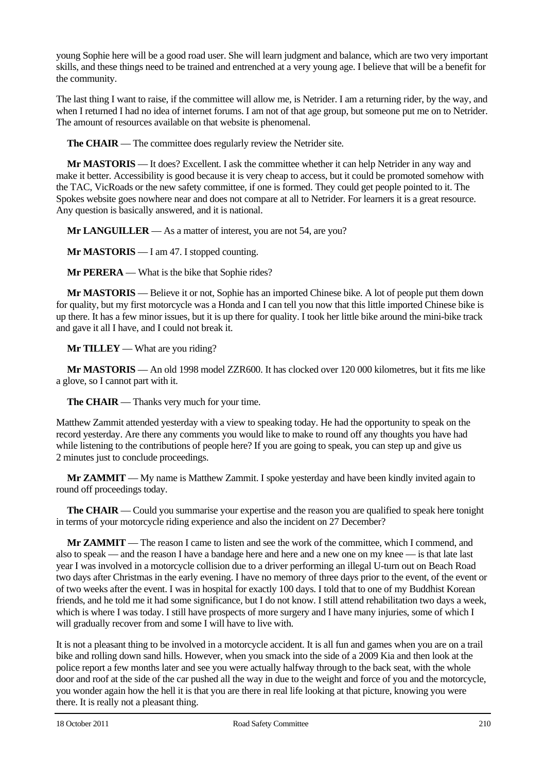young Sophie here will be a good road user. She will learn judgment and balance, which are two very important skills, and these things need to be trained and entrenched at a very young age. I believe that will be a benefit for the community.

The last thing I want to raise, if the committee will allow me, is Netrider. I am a returning rider, by the way, and when I returned I had no idea of internet forums. I am not of that age group, but someone put me on to Netrider. The amount of resources available on that website is phenomenal.

**The CHAIR** — The committee does regularly review the Netrider site.

**Mr MASTORIS** — It does? Excellent. I ask the committee whether it can help Netrider in any way and make it better. Accessibility is good because it is very cheap to access, but it could be promoted somehow with the TAC, VicRoads or the new safety committee, if one is formed. They could get people pointed to it. The Spokes website goes nowhere near and does not compare at all to Netrider. For learners it is a great resource. Any question is basically answered, and it is national.

**Mr LANGUILLER** — As a matter of interest, you are not 54, are you?

**Mr MASTORIS** — I am 47. I stopped counting.

**Mr PERERA** — What is the bike that Sophie rides?

**Mr MASTORIS** — Believe it or not, Sophie has an imported Chinese bike. A lot of people put them down for quality, but my first motorcycle was a Honda and I can tell you now that this little imported Chinese bike is up there. It has a few minor issues, but it is up there for quality. I took her little bike around the mini-bike track and gave it all I have, and I could not break it.

#### **Mr TILLEY** — What are you riding?

**Mr MASTORIS** — An old 1998 model ZZR600. It has clocked over 120 000 kilometres, but it fits me like a glove, so I cannot part with it.

**The CHAIR** — Thanks very much for your time.

Matthew Zammit attended yesterday with a view to speaking today. He had the opportunity to speak on the record yesterday. Are there any comments you would like to make to round off any thoughts you have had while listening to the contributions of people here? If you are going to speak, you can step up and give us 2 minutes just to conclude proceedings.

**Mr ZAMMIT** — My name is Matthew Zammit. I spoke yesterday and have been kindly invited again to round off proceedings today.

**The CHAIR** — Could you summarise your expertise and the reason you are qualified to speak here tonight in terms of your motorcycle riding experience and also the incident on 27 December?

**Mr ZAMMIT** — The reason I came to listen and see the work of the committee, which I commend, and also to speak — and the reason I have a bandage here and here and a new one on my knee — is that late last year I was involved in a motorcycle collision due to a driver performing an illegal U-turn out on Beach Road two days after Christmas in the early evening. I have no memory of three days prior to the event, of the event or of two weeks after the event. I was in hospital for exactly 100 days. I told that to one of my Buddhist Korean friends, and he told me it had some significance, but I do not know. I still attend rehabilitation two days a week, which is where I was today. I still have prospects of more surgery and I have many injuries, some of which I will gradually recover from and some I will have to live with.

It is not a pleasant thing to be involved in a motorcycle accident. It is all fun and games when you are on a trail bike and rolling down sand hills. However, when you smack into the side of a 2009 Kia and then look at the police report a few months later and see you were actually halfway through to the back seat, with the whole door and roof at the side of the car pushed all the way in due to the weight and force of you and the motorcycle, you wonder again how the hell it is that you are there in real life looking at that picture, knowing you were there. It is really not a pleasant thing.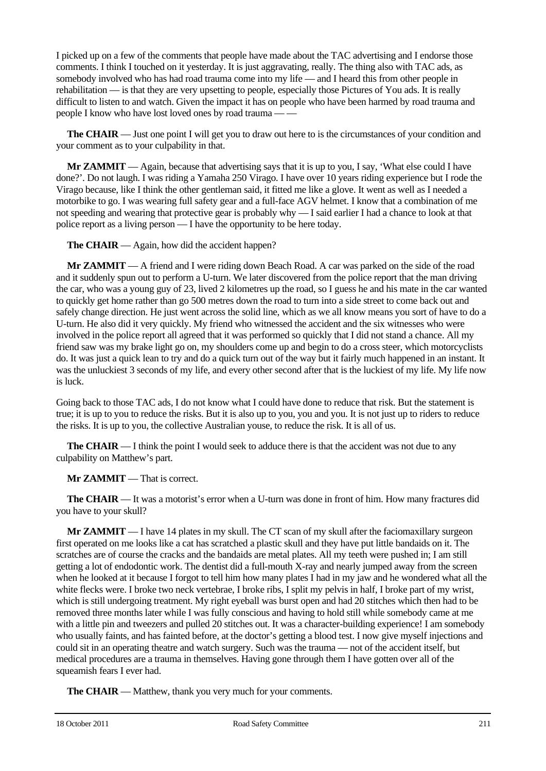I picked up on a few of the comments that people have made about the TAC advertising and I endorse those comments. I think I touched on it yesterday. It is just aggravating, really. The thing also with TAC ads, as somebody involved who has had road trauma come into my life — and I heard this from other people in rehabilitation — is that they are very upsetting to people, especially those Pictures of You ads. It is really difficult to listen to and watch. Given the impact it has on people who have been harmed by road trauma and people I know who have lost loved ones by road trauma — —

**The CHAIR** — Just one point I will get you to draw out here to is the circumstances of your condition and your comment as to your culpability in that.

**Mr ZAMMIT** — Again, because that advertising says that it is up to you, I say, 'What else could I have done?'. Do not laugh. I was riding a Yamaha 250 Virago. I have over 10 years riding experience but I rode the Virago because, like I think the other gentleman said, it fitted me like a glove. It went as well as I needed a motorbike to go. I was wearing full safety gear and a full-face AGV helmet. I know that a combination of me not speeding and wearing that protective gear is probably why — I said earlier I had a chance to look at that police report as a living person — I have the opportunity to be here today.

**The CHAIR** — Again, how did the accident happen?

**Mr ZAMMIT** — A friend and I were riding down Beach Road. A car was parked on the side of the road and it suddenly spun out to perform a U-turn. We later discovered from the police report that the man driving the car, who was a young guy of 23, lived 2 kilometres up the road, so I guess he and his mate in the car wanted to quickly get home rather than go 500 metres down the road to turn into a side street to come back out and safely change direction. He just went across the solid line, which as we all know means you sort of have to do a U-turn. He also did it very quickly. My friend who witnessed the accident and the six witnesses who were involved in the police report all agreed that it was performed so quickly that I did not stand a chance. All my friend saw was my brake light go on, my shoulders come up and begin to do a cross steer, which motorcyclists do. It was just a quick lean to try and do a quick turn out of the way but it fairly much happened in an instant. It was the unluckiest 3 seconds of my life, and every other second after that is the luckiest of my life. My life now is luck.

Going back to those TAC ads, I do not know what I could have done to reduce that risk. But the statement is true; it is up to you to reduce the risks. But it is also up to you, you and you. It is not just up to riders to reduce the risks. It is up to you, the collective Australian youse, to reduce the risk. It is all of us.

**The CHAIR** — I think the point I would seek to adduce there is that the accident was not due to any culpability on Matthew's part.

**Mr ZAMMIT** — That is correct.

**The CHAIR** — It was a motorist's error when a U-turn was done in front of him. How many fractures did you have to your skull?

**Mr ZAMMIT** — I have 14 plates in my skull. The CT scan of my skull after the faciomaxillary surgeon first operated on me looks like a cat has scratched a plastic skull and they have put little bandaids on it. The scratches are of course the cracks and the bandaids are metal plates. All my teeth were pushed in; I am still getting a lot of endodontic work. The dentist did a full-mouth X-ray and nearly jumped away from the screen when he looked at it because I forgot to tell him how many plates I had in my jaw and he wondered what all the white flecks were. I broke two neck vertebrae, I broke ribs, I split my pelvis in half, I broke part of my wrist, which is still undergoing treatment. My right eyeball was burst open and had 20 stitches which then had to be removed three months later while I was fully conscious and having to hold still while somebody came at me with a little pin and tweezers and pulled 20 stitches out. It was a character-building experience! I am somebody who usually faints, and has fainted before, at the doctor's getting a blood test. I now give myself injections and could sit in an operating theatre and watch surgery. Such was the trauma — not of the accident itself, but medical procedures are a trauma in themselves. Having gone through them I have gotten over all of the squeamish fears I ever had.

**The CHAIR** — Matthew, thank you very much for your comments.